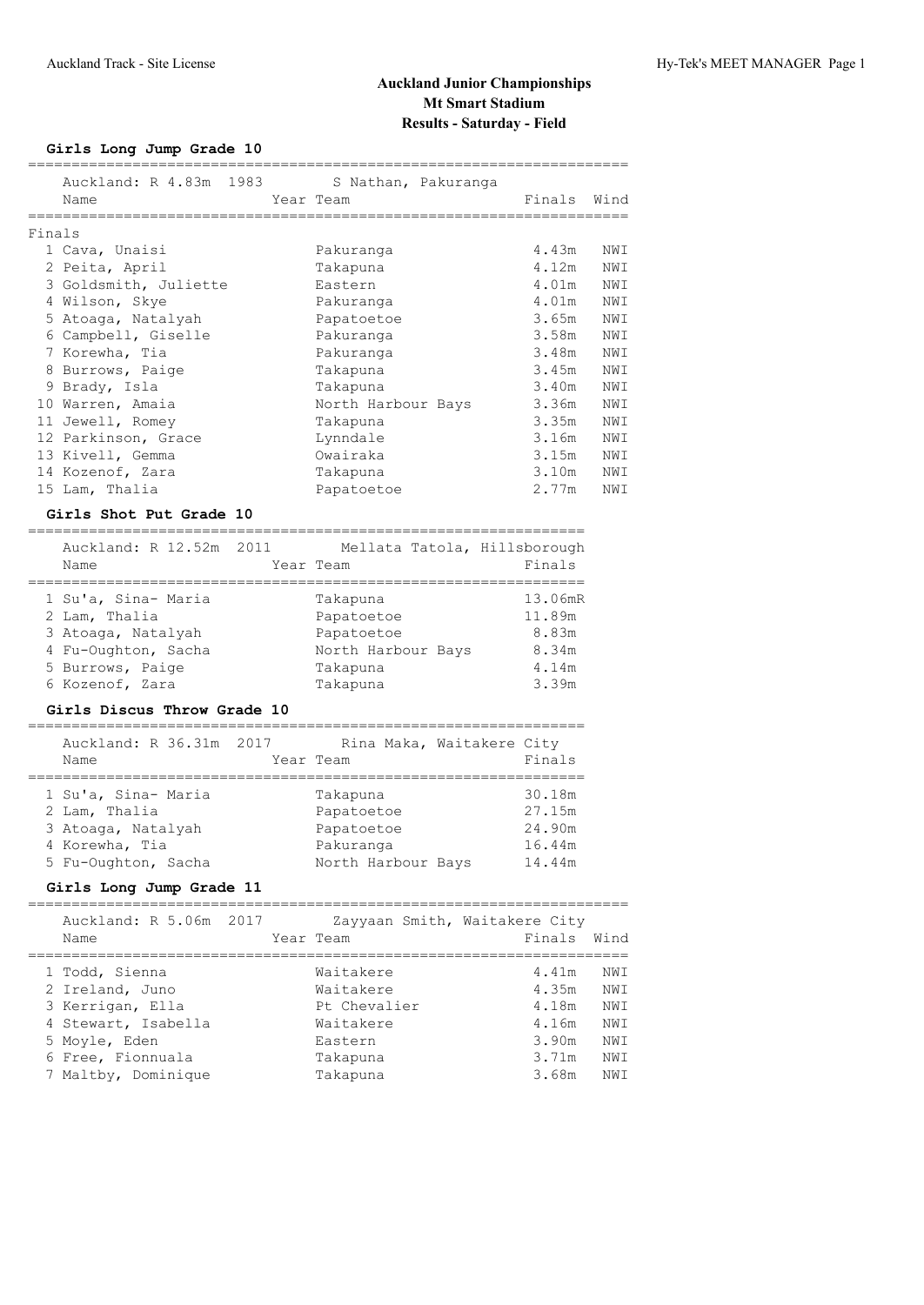## **Girls Long Jump Grade 10**

|        | Name                                                              |                | Auckland: R 4.83m 1983 S Nathan, Pakuranga<br>Year Team | Finals  | Wind |
|--------|-------------------------------------------------------------------|----------------|---------------------------------------------------------|---------|------|
|        | =========                                                         |                |                                                         |         |      |
| Finals |                                                                   |                |                                                         |         |      |
|        | 1 Cava, Unaisi                                                    |                | Pakuranga                                               | 4.43m   | NWI  |
|        | 2 Peita, April                                                    |                | Takapuna                                                | 4.12m   | NWI  |
|        | 3 Goldsmith, Juliette                                             |                | Eastern                                                 | 4.01m   | NWI  |
|        | 4 Wilson, Skye                                                    |                | Pakuranga                                               | 4.01m   | NWI  |
|        | 5 Atoaga, Natalyah                                                |                | Papatoetoe                                              | 3.65m   | NWI  |
|        | 6 Campbell, Giselle                                               |                | Pakuranga                                               | 3.58m   | NWI  |
|        | 7 Korewha, Tia                                                    |                | Pakuranga                                               | 3.48m   | NWI  |
|        | 8 Burrows, Paige                                                  |                | Takapuna                                                | 3.45m   | NWI  |
|        |                                                                   |                |                                                         | 3.40m   | NWI  |
|        | 9 Brady, Isla                                                     |                | Takapuna                                                |         |      |
|        | 10 Warren, Amaia                                                  |                | North Harbour Bays                                      | 3.36m   | NWI  |
|        | 11 Jewell, Romey                                                  |                | Takapuna                                                | 3.35m   | NWI  |
|        | 12 Parkinson, Grace                                               |                | Lynndale                                                | 3.16m   | NWI  |
|        | 13 Kivell, Gemma                                                  |                | Owairaka                                                | 3.15m   | NWI  |
|        | 14 Kozenof, Zara                                                  |                | Takapuna                                                | 3.10m   | NWI  |
|        | 15 Lam, Thalia                                                    |                | Papatoetoe                                              | 2.77m   | NWI  |
|        |                                                                   |                |                                                         |         |      |
|        | Girls Shot Put Grade 10<br>=============================          |                |                                                         |         |      |
|        |                                                                   |                |                                                         |         |      |
|        |                                                                   |                | Auckland: R 12.52m 2011 Mellata Tatola, Hillsborough    |         |      |
|        | Name                                                              |                | Year Team                                               | Finals  |      |
|        | ====================                                              |                |                                                         |         |      |
|        | 1 Su'a, Sina- Maria                                               |                | Takapuna                                                | 13.06mR |      |
|        | 2 Lam, Thalia                                                     |                | Papatoetoe                                              | 11.89m  |      |
|        | 3 Atoaga, Natalyah                                                |                | Papatoetoe                                              | 8.83m   |      |
|        | 4 Fu-Oughton, Sacha                                               |                | North Harbour Bays                                      | 8.34m   |      |
|        | 5 Burrows, Paige                                                  |                | Takapuna                                                | 4.14m   |      |
|        | 6 Kozenof, Zara                                                   |                | Takapuna                                                | 3.39m   |      |
|        |                                                                   |                |                                                         |         |      |
|        | Girls Discus Throw Grade 10<br>================================== |                |                                                         |         |      |
|        | Auckland: R 36.31m                                                | 2017           | Rina Maka, Waitakere City                               |         |      |
|        | Name                                                              |                | Year Team                                               | Finals  |      |
|        |                                                                   | ============== |                                                         |         |      |
|        | 1 Su'a, Sina- Maria                                               |                | Takapuna                                                | 30.18m  |      |
|        | 2 Lam, Thalia                                                     |                | Papatoetoe                                              | 27.15m  |      |
|        | 3 Atoaga, Natalyah                                                |                | Papatoetoe                                              | 24.90m  |      |
|        | 4 Korewha, Tia                                                    |                | Pakuranga                                               | 16.44m  |      |
|        |                                                                   |                |                                                         |         |      |
|        | 5 Fu-Oughton, Sacha                                               |                | North Harbour Bays                                      | 14.44m  |      |
|        | Girls Long Jump Grade 11                                          |                |                                                         |         |      |
|        | Auckland: R 5.06m                                                 |                |                                                         |         |      |
|        |                                                                   | 2017           | Zayyaan Smith, Waitakere City                           |         |      |
|        | Name                                                              |                | Year Team                                               | Finals  | Wind |
|        |                                                                   |                | =================                                       |         |      |
|        | 1 Todd, Sienna                                                    |                | Waitakere                                               | 4.41m   | NWI  |
|        | 2 Ireland, Juno                                                   |                | Waitakere                                               | 4.35m   | NWI  |
|        | 3 Kerrigan, Ella                                                  |                | Pt Chevalier                                            | 4.18m   | NWI  |
|        | 4 Stewart, Isabella                                               |                | Waitakere                                               | 4.16m   | NWI  |
|        | 5 Moyle, Eden                                                     |                | Eastern                                                 | 3.90m   | NWI  |
|        | 6 Free, Fionnuala                                                 |                | Takapuna                                                | 3.71m   | NWI  |
|        | 7 Maltby, Dominique                                               |                | Takapuna                                                | 3.68m   | NWI  |
|        |                                                                   |                |                                                         |         |      |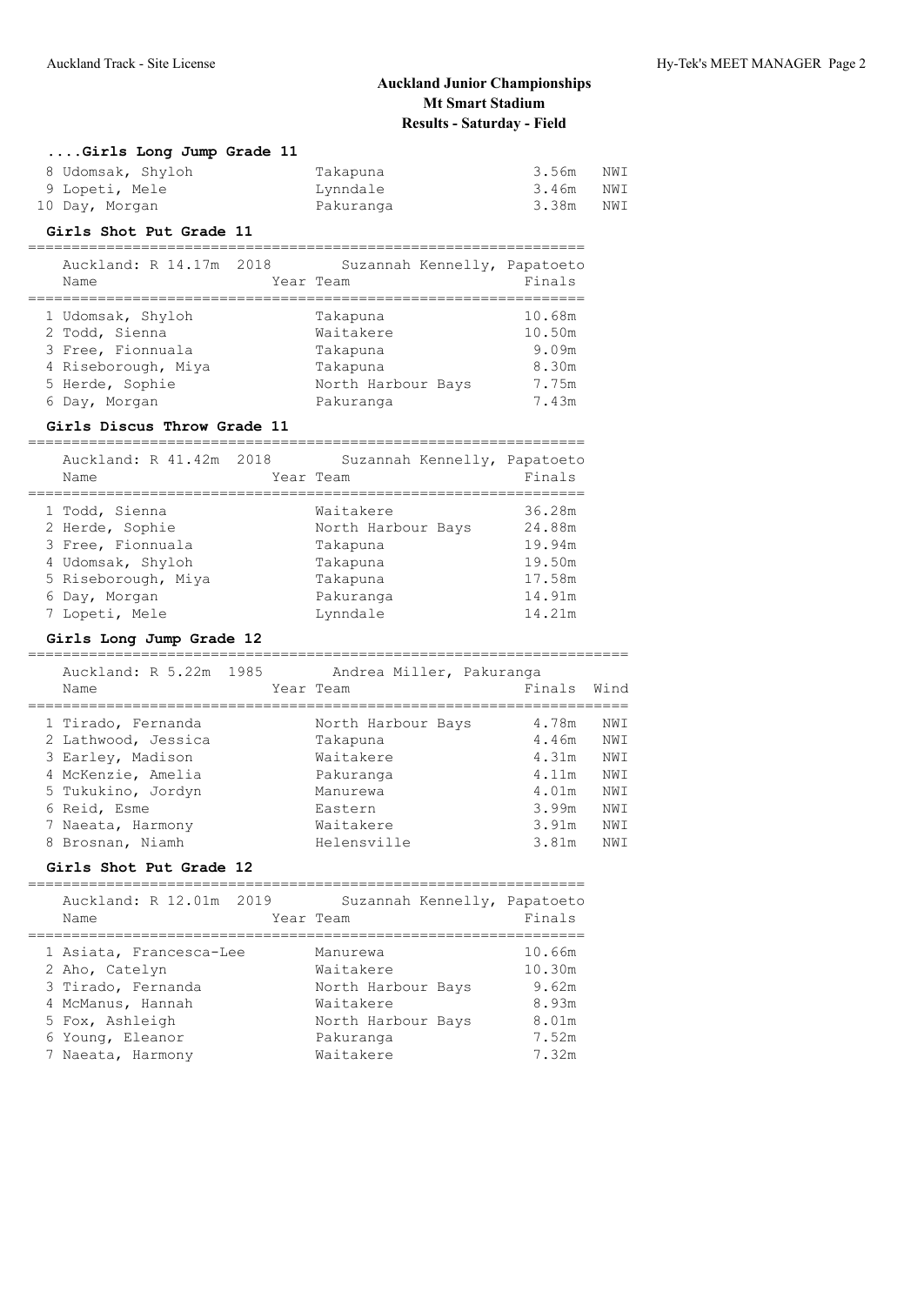| Girls Long Jump Grade 11 |           |       |     |
|--------------------------|-----------|-------|-----|
| 8 Udomsak, Shyloh        | Takapuna  | 3.56m | NWI |
| 9 Lopeti, Mele           | Lynndale  | 3.46m | NWI |
| 10 Day, Morgan           | Pakuranga | 3.38m | NWI |

### **Girls Shot Put Grade 11**

| Auckland: R 14.17m 2018<br>Name | Suzannah Kennelly, Papatoeto<br>Year Team | Finals |
|---------------------------------|-------------------------------------------|--------|
|                                 |                                           |        |
| 1 Udomsak, Shyloh               | Takapuna                                  | 10.68m |
| 2 Todd, Sienna                  | Waitakere                                 | 10.50m |
| 3 Free, Fionnuala               | Takapuna                                  | 9.09m  |
| 4 Riseborough, Miya             | Takapuna                                  | 8.30m  |
| 5 Herde, Sophie                 | North Harbour Bays                        | 7.75m  |
| 6 Day, Morgan                   | Pakuranga                                 | 7.43m  |

#### **Girls Discus Throw Grade 11**

| Auckland: R 41.42m 2018<br>Name | Suzannah Kennelly, Papatoeto<br>Year Team | Finals |
|---------------------------------|-------------------------------------------|--------|
|                                 | Waitakere                                 | 36.28m |
| 1 Todd, Sienna                  |                                           |        |
| 2 Herde, Sophie                 | North Harbour Bays                        | 24.88m |
| 3 Free, Fionnuala               | Takapuna                                  | 19.94m |
| 4 Udomsak, Shyloh               | Takapuna                                  | 19.50m |
| 5 Riseborough, Miya             | Takapuna                                  | 17.58m |
| 6 Day, Morgan                   | Pakuranga                                 | 14.91m |
| 7 Lopeti, Mele                  | Lynndale                                  | 14.21m |

#### **Girls Long Jump Grade 12**

| Auckland: R 5.22m 1985<br>Name | Andrea Miller, Pakuranga<br>Year Team | Finals | Wind |
|--------------------------------|---------------------------------------|--------|------|
|                                |                                       |        |      |
| 1 Tirado, Fernanda             | North Harbour Bays                    | 4.78m  | NW T |
| 2 Lathwood, Jessica            | Takapuna                              | 4.46m  | NW T |
| 3 Earley, Madison              | Waitakere                             | 4.31m  | NWI  |
| 4 McKenzie, Amelia             | Pakuranga                             | 4.11m  | NWI  |
| 5 Tukukino, Jordyn             | Manurewa                              | 4.01m  | NW T |
| 6 Reid, Esme                   | Eastern                               | 3.99m  | NWI  |
| 7 Naeata, Harmony              | Waitakere                             | 3.91m  | NW T |
| 8 Brosnan, Niamh               | Helensville                           | 3.81m  | NW T |

## **Girls Shot Put Grade 12**

| Auckland: R 12.01m 2019<br>Name                                                                                                                  | Suzannah Kennelly, Papatoeto<br>Year Team                                                                | Finals                                                        |
|--------------------------------------------------------------------------------------------------------------------------------------------------|----------------------------------------------------------------------------------------------------------|---------------------------------------------------------------|
| 1 Asiata, Francesca-Lee<br>2 Aho, Catelyn<br>3 Tirado, Fernanda<br>4 McManus, Hannah<br>5 Fox, Ashleigh<br>6 Young, Eleanor<br>7 Naeata, Harmony | Manurewa<br>Waitakere<br>North Harbour Bays<br>Waitakere<br>North Harbour Bays<br>Pakuranga<br>Waitakere | 10.66m<br>10.30m<br>9.62m<br>8.93m<br>8.01m<br>7.52m<br>7.32m |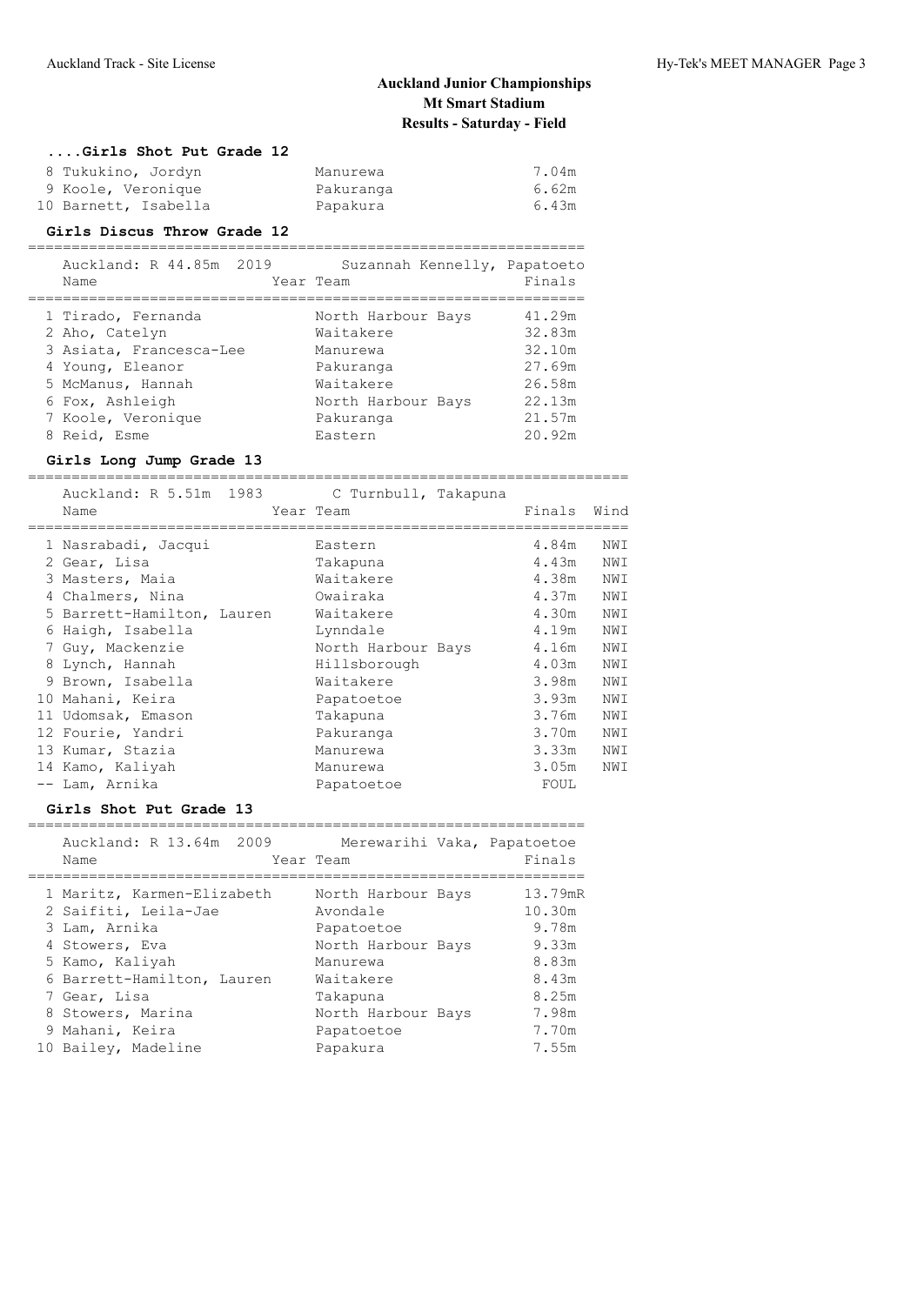#### **....Girls Shot Put Grade 12**

| 8 Tukukino, Jordyn   | Manurewa  | 7.04m |
|----------------------|-----------|-------|
| 9 Koole, Veronique   | Pakuranga | 6.62m |
| 10 Barnett, Isabella | Papakura  | 6.43m |

### **Girls Discus Throw Grade 12**

| Auckland: R 44.85m 2019<br>Name | Suzannah Kennelly, Papatoeto<br>Year Team | Finals |
|---------------------------------|-------------------------------------------|--------|
| 1 Tirado, Fernanda              | North Harbour Bays                        | 41.29m |
| 2 Aho, Catelyn                  | Waitakere                                 | 32.83m |
| 3 Asiata, Francesca-Lee         | Manurewa                                  | 32.10m |
| 4 Young, Eleanor                | Pakuranga                                 | 27.69m |
| 5 McManus, Hannah               | Waitakere                                 | 26.58m |
| 6 Fox, Ashleigh                 | North Harbour Bays                        | 22.13m |
| 7 Koole, Veronique              | Pakuranga                                 | 21.57m |
| 8 Reid, Esme                    | Eastern                                   | 20.92m |

### **Girls Long Jump Grade 13**

|    | Auckland: R 5.51m 1983<br>Name | Year Team | C Turnbull, Takapuna | Finals | Wind |
|----|--------------------------------|-----------|----------------------|--------|------|
|    | 1 Nasrabadi, Jacqui            |           | Eastern              | 4.84m  | NWI  |
|    | 2 Gear, Lisa                   |           | Takapuna             | 4.43m  | NWI  |
|    | 3 Masters, Maia                |           | Waitakere            | 4.38m  | NWI  |
|    | 4 Chalmers, Nina               |           | Owairaka             | 4.37m  | NWI  |
|    | 5 Barrett-Hamilton, Lauren     |           | Waitakere            | 4.30m  | NWI  |
| 6  | Haigh, Isabella                |           | Lynndale             | 4.19m  | NWI  |
|    | 7 Guy, Mackenzie               |           | North Harbour Bays   | 4.16m  | NWI  |
|    | 8 Lynch, Hannah                |           | Hillsborough         | 4.03m  | NWI  |
|    | 9 Brown, Isabella              |           | Waitakere            | 3.98m  | NWI  |
| 10 | Mahani, Keira                  |           | Papatoetoe           | 3.93m  | NWI  |
|    | 11 Udomsak, Emason             |           | Takapuna             | 3.76m  | NWI  |
|    | 12 Fourie, Yandri              |           | Pakuranga            | 3.70m  | NWI  |
|    | 13 Kumar, Stazia               |           | Manurewa             | 3.33m  | NWI  |
|    | 14 Kamo, Kaliyah               |           | Manurewa             | 3.05m  | NWI  |
|    | -- Lam, Arnika                 |           | Papatoetoe           | FOUL   |      |

#### **Girls Shot Put Grade 13**

| Auckland: R 13.64m 2009<br>Name | Merewarihi Vaka, Papatoetoe<br>Year Team | Finals  |
|---------------------------------|------------------------------------------|---------|
| 1 Maritz, Karmen-Elizabeth      | North Harbour Bays                       | 13.79mR |
| 2 Saifiti, Leila-Jae            | Avondale                                 | 10.30m  |
| 3 Lam, Arnika                   | Papatoetoe                               | 9.78m   |
| 4 Stowers, Eva                  | North Harbour Bays                       | 9.33m   |
| 5 Kamo, Kaliyah                 | Manurewa                                 | 8.83m   |
| 6 Barrett-Hamilton, Lauren      | Waitakere                                | 8.43m   |
| 7 Gear, Lisa                    | Takapuna                                 | 8.25m   |
| 8 Stowers, Marina               | North Harbour Bays                       | 7.98m   |
| 9 Mahani, Keira                 | Papatoetoe                               | 7.70m   |
| 10 Bailey, Madeline             | Papakura                                 | 7.55m   |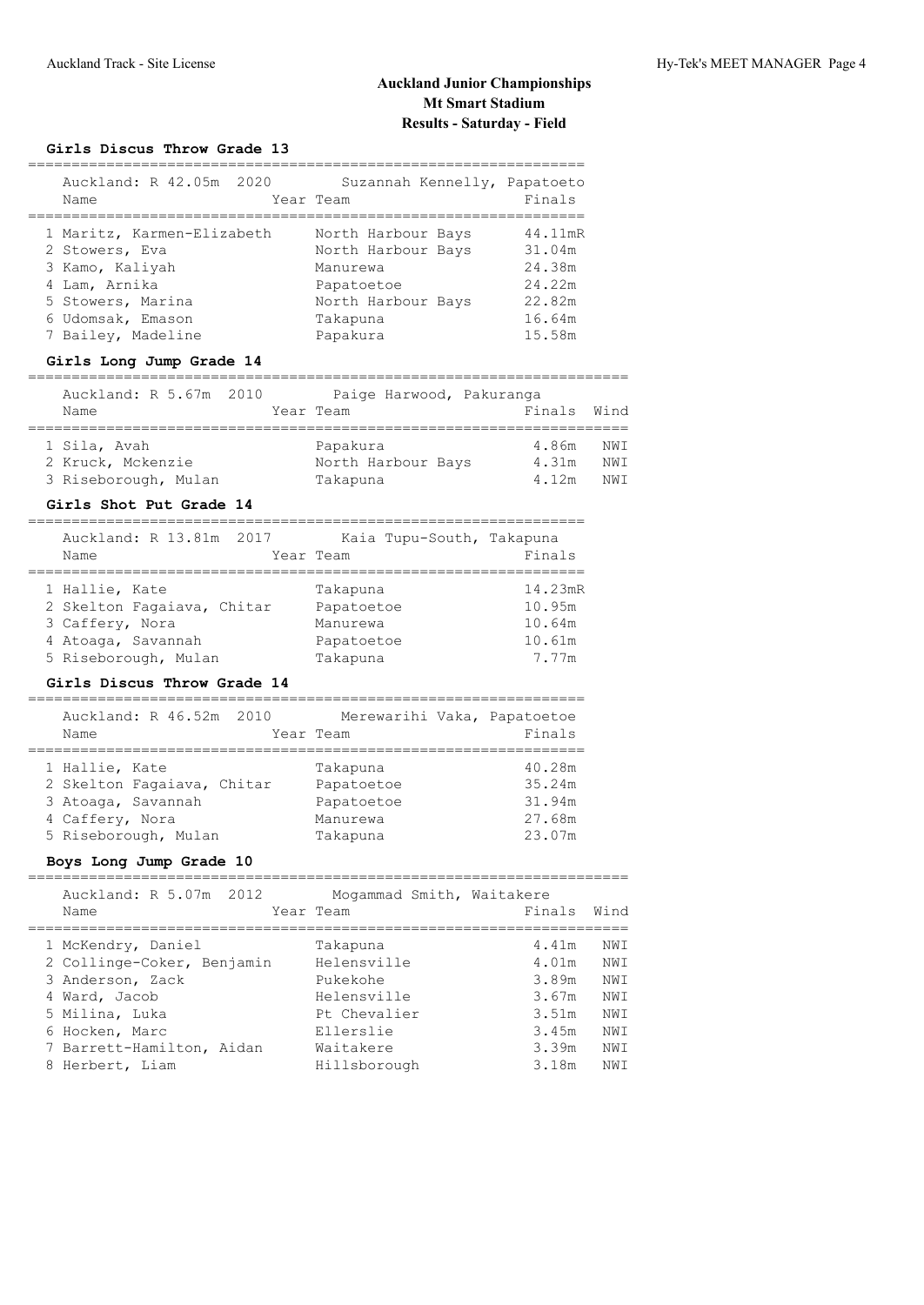## **Girls Discus Throw Grade 13**

| Auckland: R 42.05m 2020<br>Name                                                                                                                  | Suzannah Kennelly, Papatoeto<br>Year Team                                                                        | Finals                                                              |
|--------------------------------------------------------------------------------------------------------------------------------------------------|------------------------------------------------------------------------------------------------------------------|---------------------------------------------------------------------|
| 1 Maritz, Karmen-Elizabeth<br>2 Stowers, Eva<br>3 Kamo, Kaliyah<br>4 Lam, Arnika<br>5 Stowers, Marina<br>6 Udomsak, Emason<br>7 Bailey, Madeline | North Harbour Bays<br>North Harbour Bays<br>Manurewa<br>Papatoetoe<br>North Harbour Bays<br>Takapuna<br>Papakura | 44.11mR<br>31.04m<br>24.38m<br>24.22m<br>22.82m<br>16.64m<br>15.58m |

#### **Girls Long Jump Grade 14**

#### =====================================================================

| Auckland: R 5.67m 2010 | Paige Harwood, Pakuranga |             |     |
|------------------------|--------------------------|-------------|-----|
| Name                   | Year Team                | Finals Wind |     |
|                        |                          |             |     |
| 1 Sila, Avah           | Papakura                 | 4.86m       | NWI |
| 2 Kruck, Mckenzie      | North Harbour Bays       | 4.31m       | NWI |
| 3 Riseborough, Mulan   | Takapuna                 | 4.12m       | NWT |

# **Girls Shot Put Grade 14**

| Auckland: R 13.81m 2017<br>Name | Kaia Tupu-South, Takapuna<br>Year Team | Finals  |
|---------------------------------|----------------------------------------|---------|
| 1 Hallie, Kate                  | Takapuna                               | 14.23mR |
| 2 Skelton Fagaiava, Chitar      | Papatoetoe                             | 10.95m  |
| 3 Caffery, Nora                 | Manurewa                               | 10.64m  |
| 4 Atoaqa, Savannah              | Papatoetoe                             | 10.61m  |
| 5 Riseborough, Mulan            | Takapuna                               | 7.77m   |

================================================================

### **Girls Discus Throw Grade 14**

| Auckland: R 46.52m 2010<br>Name | Merewarihi Vaka, Papatoetoe<br>Year Team | Finals |
|---------------------------------|------------------------------------------|--------|
| 1 Hallie, Kate                  | Takapuna                                 | 40.28m |
| 2 Skelton Fagaiava, Chitar      | Papatoetoe                               | 35.24m |
| 3 Atoaqa, Savannah              | Papatoetoe                               | 31.94m |
| 4 Caffery, Nora                 | Manurewa                                 | 27.68m |
| 5 Riseborough, Mulan            | Takapuna                                 | 23.07m |

## **Boys Long Jump Grade 10**

| Auckland: R 5.07m 2012 |  |  |  | Mogammad Smith, Waitakere |
|------------------------|--|--|--|---------------------------|
|------------------------|--|--|--|---------------------------|

|  | Name                       | Year Team    | Finals | Wind |
|--|----------------------------|--------------|--------|------|
|  | 1 McKendry, Daniel         | Takapuna     | 4.41m  | NWI  |
|  | 2 Collinge-Coker, Benjamin | Helensville  | 4.01m  | NWI  |
|  | 3 Anderson, Zack           | Pukekohe     | 3.89m  | NWI  |
|  | 4 Ward, Jacob              | Helensville  | 3.67m  | NWI  |
|  | 5 Milina, Luka             | Pt Chevalier | 3.51m  | NWI  |
|  | 6 Hocken, Marc             | Ellerslie    | 3.45m  | NWI  |
|  | 7 Barrett-Hamilton, Aidan  | Waitakere    | 3.39m  | NWI  |
|  | 8 Herbert, Liam            | Hillsborough | 3.18m  | NWI  |
|  |                            |              |        |      |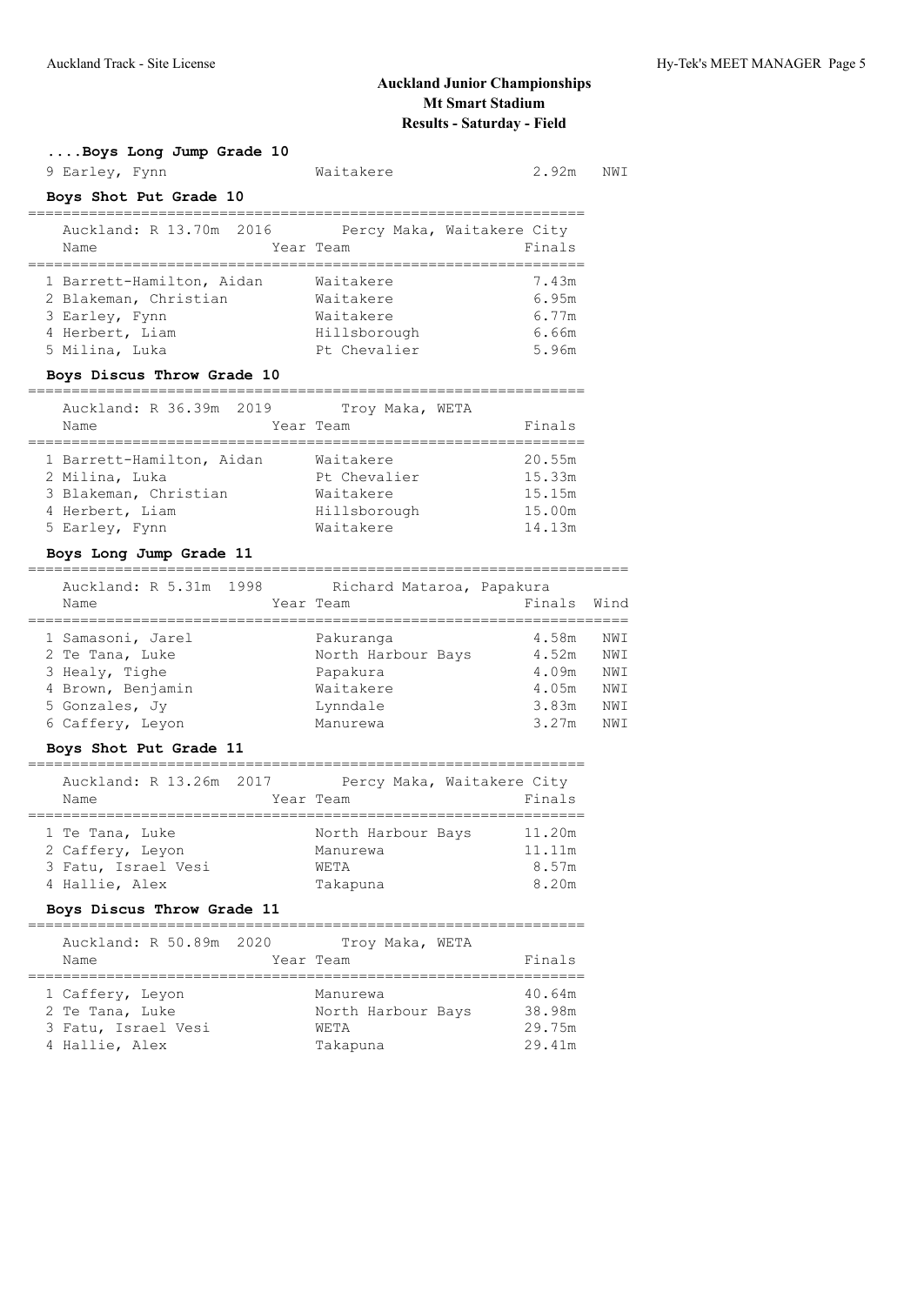**....Boys Long Jump Grade 10**

| 9 Earley, Fynn                                                                                            | Waitakere                                                           | 2.92m                                          | NWI |
|-----------------------------------------------------------------------------------------------------------|---------------------------------------------------------------------|------------------------------------------------|-----|
| Boys Shot Put Grade 10                                                                                    |                                                                     |                                                |     |
| Auckland: R 13.70m 2016 Percy Maka, Waitakere City<br>Name                                                | Year Team                                                           | Finals                                         |     |
| 1 Barrett-Hamilton, Aidan<br>2 Blakeman, Christian<br>3 Earley, Fynn<br>4 Herbert, Liam<br>5 Milina, Luka | Waitakere<br>Waitakere<br>Waitakere<br>Hillsborough<br>Pt Chevalier | 7.43m<br>6.95m<br>6.77m<br>6.66m<br>5.96m      |     |
| Boys Discus Throw Grade 10                                                                                |                                                                     |                                                |     |
| Auckland: R 36.39m 2019<br>Name                                                                           | Troy Maka, WETA<br>Year Team                                        | Finals                                         |     |
| 1 Barrett-Hamilton, Aidan<br>2 Milina, Luka<br>3 Blakeman, Christian<br>4 Herbert, Liam<br>5 Earley, Fynn | Waitakere<br>Pt Chevalier<br>Waitakere<br>Hillsborough<br>Waitakere | 20.55m<br>15.33m<br>15.15m<br>15.00m<br>14.13m |     |

#### **Boys Long Jump Grade 11** =====================================================================

| Auckland: R 5.31m 1998<br>Name       |  | Richard Mataroa, Papakura<br>Year Team | Finals         | Wind              |
|--------------------------------------|--|----------------------------------------|----------------|-------------------|
| 1 Samasoni, Jarel<br>2 Te Tana, Luke |  | Pakuranga<br>North Harbour Bays        | 4.58m<br>4.52m | NWI<br><b>NWI</b> |
| 3 Healy, Tighe                       |  | Papakura                               | 4.09m          | <b>NWI</b>        |
| 4 Brown, Benjamin                    |  | Waitakere                              | 4.05m          | <b>NWI</b>        |
| 5 Gonzales, Jy                       |  | Lynndale                               | 3.83m          | NWI               |
| 6 Caffery, Leyon                     |  | Manurewa                               | 3.27m          | NWI               |

### **Boys Shot Put Grade 11**

| Auckland: R 13.26m 2017<br>Name                                              | Percy Maka, Waitakere City<br>Year Team            | Finals                             |
|------------------------------------------------------------------------------|----------------------------------------------------|------------------------------------|
| 1 Te Tana, Luke<br>2 Caffery, Leyon<br>3 Fatu, Israel Vesi<br>4 Hallie, Alex | North Harbour Bays<br>Manurewa<br>WETA<br>Takapuna | 11.20m<br>11.11m<br>8.57m<br>8.20m |

## **Boys Discus Throw Grade 11**

| Auckland: R 50.89m 2020<br>Name                                              | Troy Maka, WETA<br>Year Team                              | Finals                               |
|------------------------------------------------------------------------------|-----------------------------------------------------------|--------------------------------------|
| 1 Caffery, Leyon<br>2 Te Tana, Luke<br>3 Fatu, Israel Vesi<br>4 Hallie, Alex | Manurewa<br>North Harbour Bays<br><b>WETA</b><br>Takapuna | 40.64m<br>38.98m<br>29.75m<br>29.41m |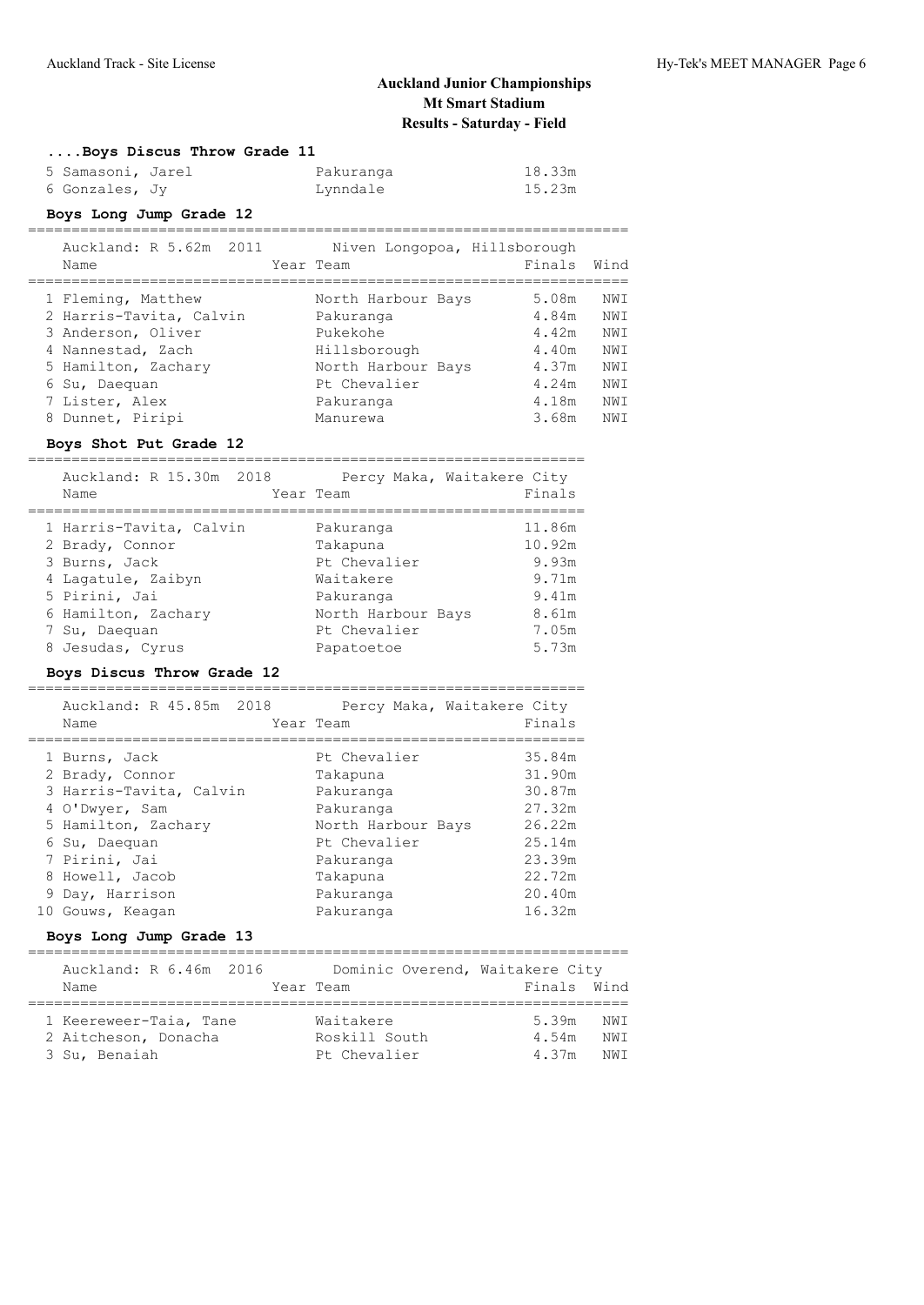| Boys Discus Throw Grade 11 |           |        |
|----------------------------|-----------|--------|
| 5 Samasoni, Jarel          | Pakuranga | 18.33m |
| 6 Gonzales, Jy             | Lynndale  | 15.23m |

## **Boys Long Jump Grade 12**

|   | Auckland: R 5.62m 2011<br>Name | Niven Longopoa, Hillsborough<br>Year Team | Finals | Wind |
|---|--------------------------------|-------------------------------------------|--------|------|
|   | 1 Fleming, Matthew             | North Harbour Bays                        | 5.08m  | NWI  |
|   | 2 Harris-Tavita, Calvin        | Pakuranga                                 | 4.84m  | NWI  |
|   | 3 Anderson, Oliver             | Pukekohe                                  | 4.42m  | NWI  |
|   | 4 Nannestad, Zach              | Hillsborough                              | 4.40m  | NWI  |
|   | 5 Hamilton, Zachary            | North Harbour Bays                        | 4.37m  | NWI  |
|   | 6 Su, Daequan                  | Pt Chevalier                              | 4.24m  | NWI  |
|   | 7 Lister, Alex                 | Pakuranga                                 | 4.18m  | NWI  |
| 8 | Dunnet, Piripi                 | Manurewa                                  | 3.68m  | NWI  |

## **Boys Shot Put Grade 12**

| Auckland: R 15.30m 2018<br>Name | Percy Maka, Waitakere City<br>Year Team | Finals |
|---------------------------------|-----------------------------------------|--------|
| 1 Harris-Tavita, Calvin         | Pakuranga                               | 11.86m |
| 2 Brady, Connor                 | Takapuna                                | 10.92m |
| 3 Burns, Jack                   | Pt Chevalier                            | 9.93m  |
| 4 Lagatule, Zaibyn              | Waitakere                               | 9.71m  |
| 5 Pirini, Jai                   | Pakuranga                               | 9.41m  |
| 6 Hamilton, Zachary             | North Harbour Bays                      | 8.61m  |
| 7 Su, Daequan                   | Pt Chevalier                            | 7.05m  |
| 8 Jesudas, Cyrus                | Papatoetoe                              | 5.73m  |

## **Boys Discus Throw Grade 12**

|   | Auckland: R 45.85m 2018<br>Name  | Percy Maka, Waitakere City<br>Year Team | Finals           |
|---|----------------------------------|-----------------------------------------|------------------|
|   | 1 Burns, Jack<br>2 Brady, Connor | Pt Chevalier<br>Takapuna                | 35.84m<br>31.90m |
|   | 3 Harris-Tavita, Calvin          | Pakuranga                               | 30.87m           |
|   | 4 O'Dwyer, Sam                   | Pakuranga                               | 27.32m           |
|   | 5 Hamilton, Zachary              | North Harbour Bays                      | 26.22m           |
|   | 6 Su, Daequan                    | Pt Chevalier                            | 25.14m           |
|   | 7 Pirini, Jai                    | Pakuranga                               | 23.39m           |
| 8 | Howell, Jacob                    | Takapuna                                | 22.72m           |
|   | 9 Day, Harrison                  | Pakuranga                               | 20.40m           |
|   | 10 Gouws, Keagan                 | Pakuranga                               | 16.32m           |

## **Boys Long Jump Grade 13**

| Auckland: R 6.46m 2016<br>Name | Dominic Overend, Waitakere City<br>Year Team | Finals Wind |      |
|--------------------------------|----------------------------------------------|-------------|------|
|                                |                                              |             |      |
| 1 Keereweer-Taia, Tane         | Waitakere                                    | 5.39m       | NW T |
| 2 Aitcheson, Donacha           | Roskill South                                | 4.54m       | NW T |
| 3 Su, Benaiah                  | Pt Chevalier                                 | 4.37m       | NW T |
|                                |                                              |             |      |